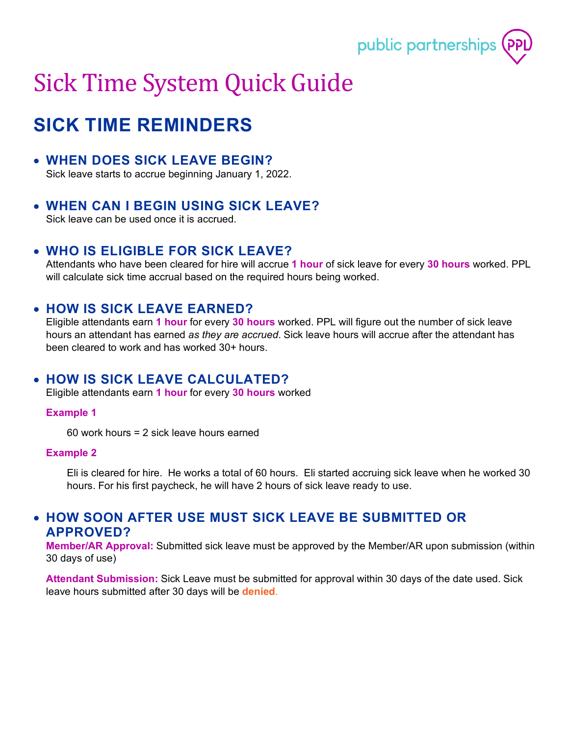

# Sick Time System Quick Guide

## **SICK TIME REMINDERS**

## • **WHEN DOES SICK LEAVE BEGIN?**

Sick leave starts to accrue beginning January 1, 2022.

## • **WHEN CAN I BEGIN USING SICK LEAVE?**

Sick leave can be used once it is accrued.

## • **WHO IS ELIGIBLE FOR SICK LEAVE?**

Attendants who have been cleared for hire will accrue **1 hour** of sick leave for every **30 hours** worked. PPL will calculate sick time accrual based on the required hours being worked.

## • **HOW IS SICK LEAVE EARNED?**

Eligible attendants earn **1 hour** for every **30 hours** worked. PPL will figure out the number of sick leave hours an attendant has earned *as they are accrued*. Sick leave hours will accrue after the attendant has been cleared to work and has worked 30+ hours.

## • **HOW IS SICK LEAVE CALCULATED?**

Eligible attendants earn **1 hour** for every **30 hours** worked

#### **Example 1**

60 work hours = 2 sick leave hours earned

#### **Example 2**

Eli is cleared for hire. He works a total of 60 hours. Eli started accruing sick leave when he worked 30 hours. For his first paycheck, he will have 2 hours of sick leave ready to use.

## • **HOW SOON AFTER USE MUST SICK LEAVE BE SUBMITTED OR APPROVED?**

**Member/AR Approval:** Submitted sick leave must be approved by the Member/AR upon submission (within 30 days of use)

**Attendant Submission:** Sick Leave must be submitted for approval within 30 days of the date used. Sick leave hours submitted after 30 days will be **denied**.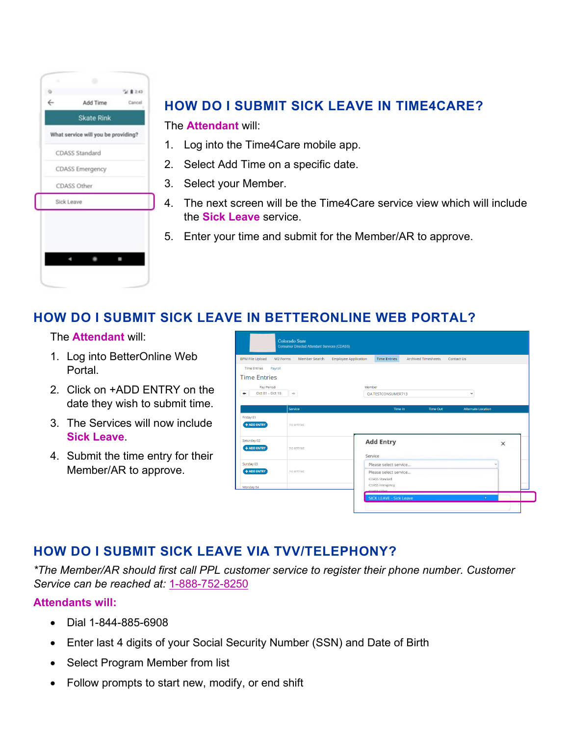

## **HOW DO I SUBMIT SICK LEAVE IN TIME4CARE?**

The **Attendant** will:

- 1. Log into the Time4Care mobile app.
- 2. Select Add Time on a specific date.
- 3. Select your Member.
- 4. The next screen will be the Time4Care service view which will include the **Sick Leave** service.
- 5. Enter your time and submit for the Member/AR to approve.

## **HOW DO I SUBMIT SICK LEAVE IN BETTERONLINE WEB PORTAL?**

### The **Attendant** will:

- 1. Log into BetterOnline Web Portal.
- 2. Click on +ADD ENTRY on the date they wish to submit time.
- 3. The Services will now include **Sick Leave**.
- 4. Submit the time entry for their Member/AR to approve.

| <b>BPM File Upload</b>                                            | W2 Forms<br>Member Search | <b>Employee Application</b> | <b>Time Entries</b>                                                       | <b>Archived Timesheets</b> | Contact Us |                           |   |
|-------------------------------------------------------------------|---------------------------|-----------------------------|---------------------------------------------------------------------------|----------------------------|------------|---------------------------|---|
| <b>Time Entries</b><br>Payroll                                    |                           |                             |                                                                           |                            |            |                           |   |
| <b>Time Entries</b>                                               |                           |                             |                                                                           |                            |            |                           |   |
| Pay Period<br>Oct 01 - Oct 15<br>٠                                | $\Rightarrow$             |                             | Member<br>OA TESTCONSUMER713                                              |                            |            | $\checkmark$              |   |
|                                                                   | Service                   |                             | Time In                                                                   | <b>Time Out</b>            |            | <b>Alternate Location</b> |   |
|                                                                   |                           |                             |                                                                           |                            |            |                           |   |
| + ADD ENTRY                                                       | no entries                |                             |                                                                           |                            |            |                           |   |
|                                                                   | no entries                |                             | <b>Add Entry</b>                                                          |                            |            |                           | × |
| $+$ ADD ENTRY                                                     |                           |                             | Service<br>Please select service                                          |                            |            |                           |   |
| Friday 01<br>Saturday 02<br>Sunday 03<br>+ ADD ENTRY<br>Monday 04 | no entries                |                             | Please select service<br>CDASS Standard<br>CDASS Emergency<br>CDASS Other |                            |            |                           |   |

## **HOW DO I SUBMIT SICK LEAVE VIA TVV/TELEPHONY?**

*\*The Member/AR should first call PPL customer service to register their phone number. Customer Service can be reached at:* [1-888-752-8250](tel:+1-888-752-8250)

## **Attendants will:**

- Dial 1-844-885-6908
- Enter last 4 digits of your Social Security Number (SSN) and Date of Birth
- Select Program Member from list
- Follow prompts to start new, modify, or end shift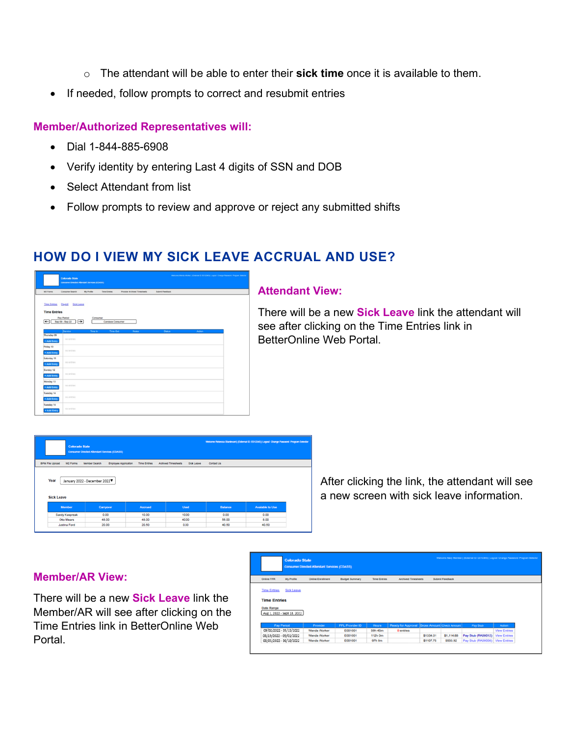- o The attendant will be able to enter their **sick time** once it is available to them.
- If needed, follow prompts to correct and resubmit entries

## **Member/Authorized Representatives will:**

- Dial 1-844-885-6908
- Verify identity by entering Last 4 digits of SSN and DOB
- Select Attendant from list
- Follow prompts to review and approve or reject any submitted shifts

## **HOW DO I VIEW MY SICK LEAVE ACCRUAL AND USE?**

|                                     | <b>Colorado State</b><br>Consumer Directed Attendant Services (COASS) |                   |                     |                                     |                 | Welcome Wards Woker   (External ID: E012345)   Logost Charge Password Program Selecto |
|-------------------------------------|-----------------------------------------------------------------------|-------------------|---------------------|-------------------------------------|-----------------|---------------------------------------------------------------------------------------|
| W2 Forms                            | Consumer Search                                                       | <b>My Profile</b> | <b>Time Entries</b> | <b>Provider Archived Timesheets</b> | Submit Feedback |                                                                                       |
| <b>Time Entries</b>                 | Payroll<br><b>Sick Leave</b>                                          |                   |                     |                                     |                 |                                                                                       |
| <b>Time Entries</b><br>$\leftarrow$ | Pay Period<br>$\rightarrow$<br>Sep 09 - Sep 22                        | Consumer          | Candace Consumer    |                                     |                 |                                                                                       |
|                                     | Service                                                               | Time in           | Time Out            | <b>Notes</b>                        | Status          | <b>Action</b>                                                                         |
| Thursday 09<br>+ Add Entry          | no entries.                                                           |                   |                     |                                     |                 |                                                                                       |
| Friday 10<br>* Add Entry            | no entries.                                                           |                   |                     |                                     |                 |                                                                                       |
| Saturday 11<br>* Add Entry          | no entries.                                                           |                   |                     |                                     |                 |                                                                                       |
| Sunday 12<br>* Add Entry            | no entres                                                             |                   |                     |                                     |                 |                                                                                       |
| Monday 13<br>* Add Entry            | no entries.                                                           |                   |                     |                                     |                 |                                                                                       |
| Tuesday 14<br>+ Add Entry           | no entries.                                                           |                   |                     |                                     |                 |                                                                                       |
| Tuesday 14                          |                                                                       |                   |                     |                                     |                 |                                                                                       |

### **Attendant View:**

There will be a new **Sick Leave** link the attendant will see after clicking on the Time Entries link in BetterOnline Web Portal.

| <b>Colorado State</b>              | Consumer Directed Attendant Services (CDASS) |              |                            |            |            | Veicone Rebecca Stantevant   (External Dr. ED12345)   Logout Change Password Program Selector |  |
|------------------------------------|----------------------------------------------|--------------|----------------------------|------------|------------|-----------------------------------------------------------------------------------------------|--|
| <b>BPM File Upload</b><br>W2 Forms | Employee Application<br>Member Search        | Time Entries | <b>Archived Timesheets</b> | SION Leave | Contact Us |                                                                                               |  |
| Year<br><b>Sick Leave</b>          | January 2022 - December 2022 ▼               |              |                            |            |            |                                                                                               |  |
| Member                             | Carryover                                    | Accrued      | Used                       |            | Balance    | Available to Use                                                                              |  |
| Sandy Kasprzak                     | 0.00                                         | 10.00        | 10.00                      |            | 0.00       | 0.00                                                                                          |  |
| Otto Means                         | 48.00                                        | 48.00        | 40.00                      |            | 56.00      | 8.00                                                                                          |  |
| <b>Justina Ford</b>                | 20.00                                        | 20.50        | 0.00                       |            | 40.50      | 40.50                                                                                         |  |

After clicking the link, the attendant will see a new screen with sick leave information.

#### **Member/AR View:**

There will be a new **Sick Leave** link the Member/AR will see after clicking on the Time Entries link in BetterOnline Web Portal.

|                             |                   | <b>Consumer Directed Attendant Services (CDASS)</b> |                       |                     |                                              |           |                        |                                   |                     |
|-----------------------------|-------------------|-----------------------------------------------------|-----------------------|---------------------|----------------------------------------------|-----------|------------------------|-----------------------------------|---------------------|
| <b>Online FFR</b>           | My Profile        | <b>Online Enrolment</b>                             | <b>Budget Summary</b> | <b>Time Entries</b> | <b>Archived Timesheets</b>                   |           | <b>Submit Feedback</b> |                                   |                     |
| <b>Time Entries</b>         | <b>Sick Leave</b> |                                                     |                       |                     |                                              |           |                        |                                   |                     |
| <b>Time Entries</b>         |                   |                                                     |                       |                     |                                              |           |                        |                                   |                     |
| Date Range                  |                   |                                                     |                       |                     |                                              |           |                        |                                   |                     |
| Aug 1, 2022 - Sept 13, 2022 |                   |                                                     |                       |                     |                                              |           |                        |                                   |                     |
| Pay Period                  |                   | Provider                                            | PPL Provider ID       | <b>Hours</b>        | Ready for Approval Cross Amount Check Amount |           |                        | Pay Stub                          | <b>Action</b>       |
|                             |                   | Wanda Worker                                        | E001001               | 59h 45m             | 8 entries                                    |           |                        |                                   | <b>View Entries</b> |
| 09/02/2022 - 09/15/2022     |                   | Wanda Worker                                        | E001001               | 112h Om             |                                              | \$1334.01 | \$1,114.88             | Pay Stub (RA00012)                | <b>View Entries</b> |
| 08/19/2022 - 09/01/2022     |                   | Wanda Worker                                        | E001001               | 97h Om              |                                              | \$1107.75 | \$933.92               | Pay Stub (RA00008)   View Entries |                     |